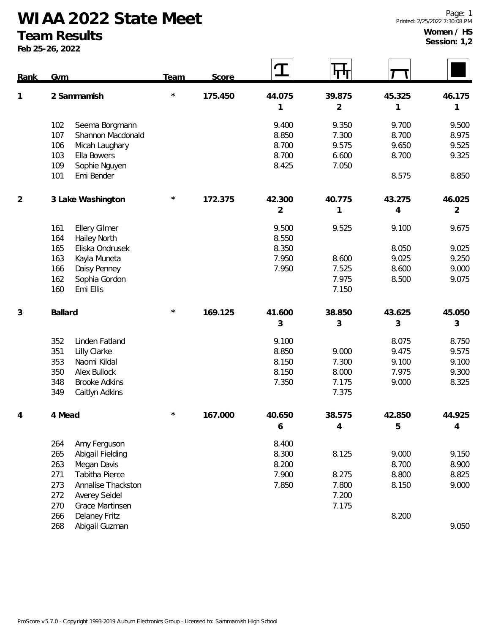**WIAA 2022 State Meet**

## **Team Results**

**Feb 25-26, 2022**

**Women / HS Session: 1,2**

| <b>Rank</b>    | Gym                                | Team     | Score   | I              | पाग            |                |                |
|----------------|------------------------------------|----------|---------|----------------|----------------|----------------|----------------|
| 1              | 2 Sammamish                        | $^\star$ | 175.450 | 44.075         | 39.875         | 45.325         | 46.175         |
|                |                                    |          |         | 1              | $\overline{2}$ | 1              | 1              |
|                | 102<br>Seema Borgmann              |          |         | 9.400          | 9.350          | 9.700          | 9.500          |
|                | 107<br>Shannon Macdonald           |          |         | 8.850          | 7.300          | 8.700          | 8.975          |
|                | 106<br>Micah Laughary              |          |         | 8.700          | 9.575          | 9.650          | 9.525          |
|                | 103<br>Ella Bowers                 |          |         | 8.700          | 6.600          | 8.700          | 9.325          |
|                | 109<br>Sophie Nguyen<br>Emi Bender |          |         | 8.425          | 7.050          | 8.575          | 8.850          |
|                | 101                                |          |         |                |                |                |                |
| $\overline{2}$ | 3 Lake Washington                  | $\star$  | 172.375 | 42.300         | 40.775         | 43.275         | 46.025         |
|                |                                    |          |         | $\overline{2}$ | 1              | $\overline{4}$ | $\overline{2}$ |
|                | 161<br><b>Ellery Gilmer</b>        |          |         | 9.500          | 9.525          | 9.100          | 9.675          |
|                | 164<br><b>Hailey North</b>         |          |         | 8.550          |                |                |                |
|                | Eliska Ondrusek<br>165             |          |         | 8.350          |                | 8.050          | 9.025          |
|                | 163<br>Kayla Muneta                |          |         | 7.950          | 8.600          | 9.025          | 9.250          |
|                | 166<br>Daisy Penney                |          |         | 7.950          | 7.525          | 8.600          | 9.000          |
|                | 162<br>Sophia Gordon               |          |         |                | 7.975          | 8.500          | 9.075          |
|                | 160<br>Emi Ellis                   |          |         |                | 7.150          |                |                |
| 3              | Ballard                            | $\star$  | 169.125 | 41.600         | 38.850         | 43.625         | 45.050         |
|                |                                    |          |         | 3              | 3              | 3              | 3              |
|                | 352<br>Linden Fatland              |          |         | 9.100          |                | 8.075          | 8.750          |
|                | 351<br>Lilly Clarke                |          |         | 8.850          | 9.000          | 9.475          | 9.575          |
|                | 353<br>Naomi Kildal                |          |         | 8.150          | 7.300          | 9.100          | 9.100          |
|                | 350<br>Alex Bullock                |          |         | 8.150          | 8.000          | 7.975          | 9.300          |
|                | 348<br><b>Brooke Adkins</b>        |          |         | 7.350          | 7.175          | 9.000          | 8.325          |
|                | 349<br>Caitlyn Adkins              |          |         |                | 7.375          |                |                |
|                | 4 Mead                             | $^\star$ | 167.000 | 40.650         | 38.575         | 42.850         | 44.925         |
|                |                                    |          |         | 6              | 4              | 5              | 4              |
|                | Amy Ferguson<br>264                |          |         | 8.400          |                |                |                |
|                | 265<br>Abigail Fielding            |          |         | 8.300          | 8.125          | 9.000          | 9.150          |
|                | 263<br>Megan Davis                 |          |         | 8.200          |                | 8.700          | 8.900          |
|                | Tabitha Pierce<br>271              |          |         | 7.900          | 8.275          | 8.800          | 8.825          |
|                | 273<br>Annalise Thackston          |          |         | 7.850          | 7.800          | 8.150          | 9.000          |
|                | 272<br>Averey Seidel               |          |         |                | 7.200          |                |                |
|                | 270<br>Grace Martinsen             |          |         |                | 7.175          |                |                |
|                | <b>Delaney Fritz</b><br>266        |          |         |                |                | 8.200          |                |
|                | 268<br>Abigail Guzman              |          |         |                |                |                | 9.050          |